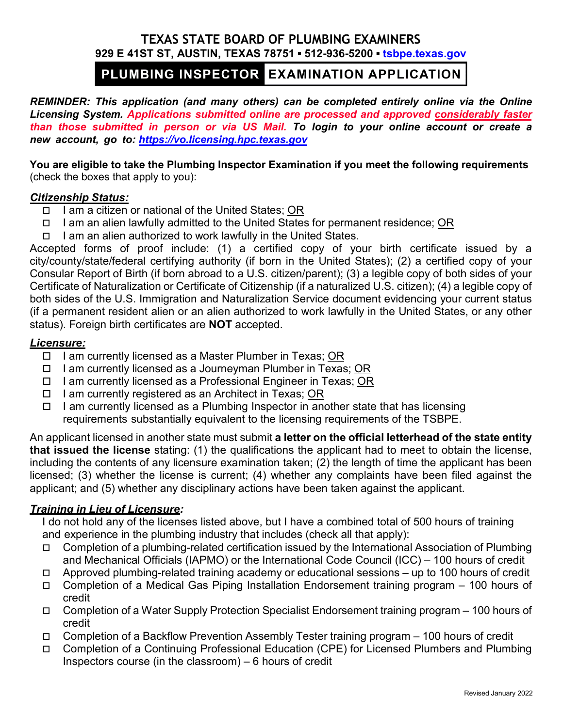## **TEXAS STATE BOARD OF PLUMBING EXAMINERS 929 E 41ST ST, AUSTIN, TEXAS 78751 ▪ 512-936-5200 ▪ [tsbpe.texas.gov](http://www.tsbpe.texas.gov/)**

# PLUMBING INSPECTOR EXAMINATION APPLICATION

*REMINDER: This application (and many others) can be completed entirely online via the Online Licensing System. Applications submitted online are processed and approved considerably faster than those submitted in person or via US Mail. To login to your online account or create a [new account, go to:](https://vo.licensing.hpc.texas.gov/) https://vo.licensing.hpc.texas.gov*

**You are eligible to take the Plumbing Inspector Examination if you meet the following requirements** (check the boxes that apply to you):

### *Citizenship Status:*

- $\Box$  I am a citizen or national of the United States: OR
- $\Box$  I am an alien lawfully admitted to the United States for permanent residence; OR
- $\Box$  I am an alien authorized to work lawfully in the United States.

Accepted forms of proof include: (1) a certified copy of your birth certificate issued by a city/county/state/federal certifying authority (if born in the United States); (2) a certified copy of your Consular Report of Birth (if born abroad to a U.S. citizen/parent); (3) a legible copy of both sides of your Certificate of Naturalization or Certificate of Citizenship (if a naturalized U.S. citizen); (4) a legible copy of both sides of the U.S. Immigration and Naturalization Service document evidencing your current status (if a permanent resident alien or an alien authorized to work lawfully in the United States, or any other status). Foreign birth certificates are **NOT** accepted.

## *Licensure:*

- □ I am currently licensed as a Master Plumber in Texas; OR
- $\Box$  I am currently licensed as a Journeyman Plumber in Texas; OR
- $\Box$  I am currently licensed as a Professional Engineer in Texas; OR
- $\Box$  I am currently registered as an Architect in Texas; OR
- $\Box$  I am currently licensed as a Plumbing Inspector in another state that has licensing requirements substantially equivalent to the licensing requirements of the TSBPE.

An applicant licensed in another state must submit **a letter on the official letterhead of the state entity that issued the license** stating: (1) the qualifications the applicant had to meet to obtain the license, including the contents of any licensure examination taken; (2) the length of time the applicant has been licensed; (3) whether the license is current; (4) whether any complaints have been filed against the applicant; and (5) whether any disciplinary actions have been taken against the applicant.

## *Training in Lieu of Licensure:*

I do not hold any of the licenses listed above, but I have a combined total of 500 hours of training and experience in the plumbing industry that includes (check all that apply):

- $\Box$  Completion of a plumbing-related certification issued by the International Association of Plumbing and Mechanical Officials (IAPMO) or the International Code Council (ICC) – 100 hours of credit
- $\Box$  Approved plumbing-related training academy or educational sessions up to 100 hours of credit
- Completion of a Medical Gas Piping Installation Endorsement training program 100 hours of credit
- Completion of a Water Supply Protection Specialist Endorsement training program 100 hours of credit
- Completion of a Backflow Prevention Assembly Tester training program 100 hours of credit
- □ Completion of a Continuing Professional Education (CPE) for Licensed Plumbers and Plumbing Inspectors course (in the classroom) – 6 hours of credit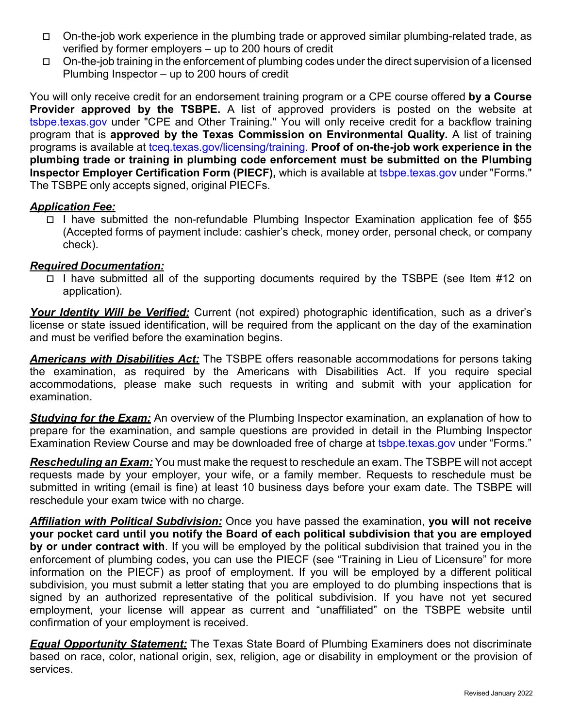- On-the-job work experience in the plumbing trade or approved similar plumbing-related trade, as verified by former employers – up to 200 hours of credit
- $\Box$  On-the-job training in the enforcement of plumbing codes under the direct supervision of a licensed Plumbing Inspector – up to 200 hours of credit

You will only receive credit for an endorsement training program or a CPE course offered **by a Course Provider approved by the TSBPE.** A list of approved providers is posted on the website at [tsbpe.texas.gov u](http://www.tsbpe.texas.gov/)nder "CPE and Other Training." You will only receive credit for a backflow training program that is **approved by the Texas Commission on Environmental Quality.** A list of training programs is available at [tceq.texas.gov/licensing/training.](http://www.tceq.texas.gov/licensing/training) **Proof of on-the-job work experience in the plumbing trade or training in plumbing code enforcement must be submitted on the Plumbing Inspector Employer Certification Form (PIECF),** which is available at [tsbpe.texas.gov](http://www.tsbpe.texas.gov/) under "Forms." The TSBPE only accepts signed, original PIECFs.

## *Application Fee:*

 I have submitted the non-refundable Plumbing Inspector Examination application fee of \$55 (Accepted forms of payment include: cashier's check, money order, personal check, or company check).

## *Required Documentation:*

 $\Box$  I have submitted all of the supporting documents required by the TSBPE (see Item #12 on application).

*Your Identity Will be Verified:* Current (not expired) photographic identification, such as a driver's license or state issued identification, will be required from the applicant on the day of the examination and must be verified before the examination begins.

*Americans with Disabilities Act:* The TSBPE offers reasonable accommodations for persons taking the examination, as required by the Americans with Disabilities Act. If you require special accommodations, please make such requests in writing and submit with your application for examination.

*Studying for the Exam:* An overview of the Plumbing Inspector examination, an explanation of how to prepare for the examination, and sample questions are provided in detail in the Plumbing Inspector Examination Review Course and may be downloaded free of charge at [tsbpe.texas.gov u](http://www.tsbpe.texas.gov/)nder "Forms."

*Rescheduling an Exam:* You must make the request to reschedule an exam. The TSBPE will not accept requests made by your employer, your wife, or a family member. Requests to reschedule must be submitted in writing (email is fine) at least 10 business days before your exam date. The TSBPE will reschedule your exam twice with no charge.

*Affiliation with Political Subdivision:* Once you have passed the examination, **you will not receive your pocket card until you notify the Board of each political subdivision that you are employed by or under contract with**. If you will be employed by the political subdivision that trained you in the enforcement of plumbing codes, you can use the PIECF (see "Training in Lieu of Licensure" for more information on the PIECF) as proof of employment. If you will be employed by a different political subdivision, you must submit a letter stating that you are employed to do plumbing inspections that is signed by an authorized representative of the political subdivision. If you have not yet secured employment, your license will appear as current and "unaffiliated" on the TSBPE website until confirmation of your employment is received.

*Equal Opportunity Statement:* The Texas State Board of Plumbing Examiners does not discriminate based on race, color, national origin, sex, religion, age or disability in employment or the provision of services.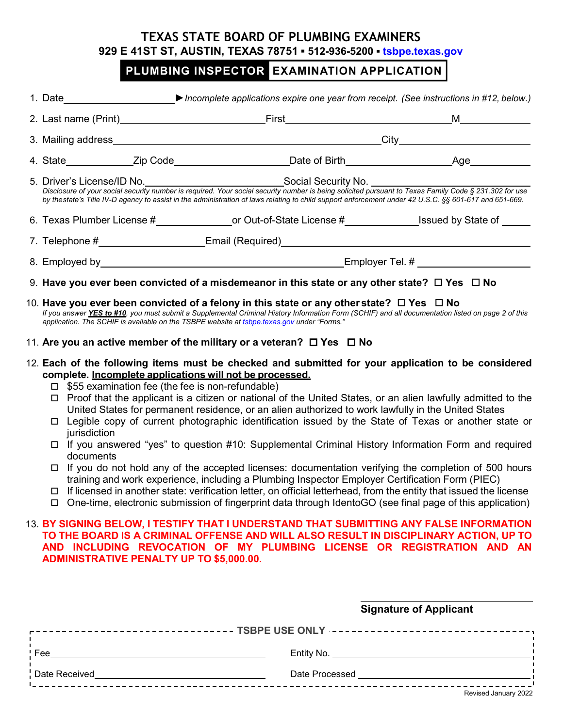## **TEXAS STATE BOARD OF PLUMBING EXAMINERS 929 E 41ST ST, AUSTIN, TEXAS 78751 ▪ 512-936-5200 ▪ [tsbpe.texas.gov](http://www.tsbpe.texas.gov/)**

# PLUMBING INSPECTOR EXAMINATION APPLICATION

|                                                                                                                                                                                                                                                                                                               | 1. Date <b>State State State State Incomplete applications expire one year from receipt. (See instructions in #12, below.)</b>                                                                                                                                                                                                                                                                                                                                                                                                                                                                              |                                                                                                                                                                                                                                                                                                                                                                                                                                                                                                                                        |  |  |
|---------------------------------------------------------------------------------------------------------------------------------------------------------------------------------------------------------------------------------------------------------------------------------------------------------------|-------------------------------------------------------------------------------------------------------------------------------------------------------------------------------------------------------------------------------------------------------------------------------------------------------------------------------------------------------------------------------------------------------------------------------------------------------------------------------------------------------------------------------------------------------------------------------------------------------------|----------------------------------------------------------------------------------------------------------------------------------------------------------------------------------------------------------------------------------------------------------------------------------------------------------------------------------------------------------------------------------------------------------------------------------------------------------------------------------------------------------------------------------------|--|--|
|                                                                                                                                                                                                                                                                                                               |                                                                                                                                                                                                                                                                                                                                                                                                                                                                                                                                                                                                             |                                                                                                                                                                                                                                                                                                                                                                                                                                                                                                                                        |  |  |
|                                                                                                                                                                                                                                                                                                               |                                                                                                                                                                                                                                                                                                                                                                                                                                                                                                                                                                                                             |                                                                                                                                                                                                                                                                                                                                                                                                                                                                                                                                        |  |  |
|                                                                                                                                                                                                                                                                                                               |                                                                                                                                                                                                                                                                                                                                                                                                                                                                                                                                                                                                             |                                                                                                                                                                                                                                                                                                                                                                                                                                                                                                                                        |  |  |
|                                                                                                                                                                                                                                                                                                               | 5. Driver's License/ID No. Sequired. Your social security number is being solicited pursuant to Texas Family Code § 231.302 for use<br>by the state's Title IV-D agency to assist in the administration of laws relating to child support enforcement under 42 U.S.C. §§ 601-617 and 651-669.                                                                                                                                                                                                                                                                                                               |                                                                                                                                                                                                                                                                                                                                                                                                                                                                                                                                        |  |  |
|                                                                                                                                                                                                                                                                                                               | 6. Texas Plumber License #___________________or Out-of-State License #_______________Issued by State of _____                                                                                                                                                                                                                                                                                                                                                                                                                                                                                               |                                                                                                                                                                                                                                                                                                                                                                                                                                                                                                                                        |  |  |
|                                                                                                                                                                                                                                                                                                               |                                                                                                                                                                                                                                                                                                                                                                                                                                                                                                                                                                                                             |                                                                                                                                                                                                                                                                                                                                                                                                                                                                                                                                        |  |  |
|                                                                                                                                                                                                                                                                                                               |                                                                                                                                                                                                                                                                                                                                                                                                                                                                                                                                                                                                             |                                                                                                                                                                                                                                                                                                                                                                                                                                                                                                                                        |  |  |
|                                                                                                                                                                                                                                                                                                               | 9. Have you ever been convicted of a misdemeanor in this state or any other state? $\Box$ Yes $\Box$ No                                                                                                                                                                                                                                                                                                                                                                                                                                                                                                     |                                                                                                                                                                                                                                                                                                                                                                                                                                                                                                                                        |  |  |
|                                                                                                                                                                                                                                                                                                               | 10. Have you ever been convicted of a felony in this state or any other state? $\Box$ Yes $\Box$ No<br>If you answer YES to #10, you must submit a Supplemental Criminal History Information Form (SCHIF) and all documentation listed on page 2 of this<br>application. The SCHIF is available on the TSBPE website at tsbpe texas gov under "Forms."                                                                                                                                                                                                                                                      |                                                                                                                                                                                                                                                                                                                                                                                                                                                                                                                                        |  |  |
|                                                                                                                                                                                                                                                                                                               | 11. Are you an active member of the military or a veteran? $\Box$ Yes $\Box$ No                                                                                                                                                                                                                                                                                                                                                                                                                                                                                                                             |                                                                                                                                                                                                                                                                                                                                                                                                                                                                                                                                        |  |  |
|                                                                                                                                                                                                                                                                                                               | 12. Each of the following items must be checked and submitted for your application to be considered<br>complete. Incomplete applications will not be processed.<br>$\Box$ \$55 examination fee (the fee is non-refundable)<br>jurisdiction<br>□ If you answered "yes" to question #10: Supplemental Criminal History Information Form and required<br>documents<br>$\Box$ If licensed in another state: verification letter, on official letterhead, from the entity that issued the license<br>□ One-time, electronic submission of fingerprint data through IdentoGO (see final page of this application) | Proof that the applicant is a citizen or national of the United States, or an alien lawfully admitted to the<br>United States for permanent residence, or an alien authorized to work lawfully in the United States<br>Legible copy of current photographic identification issued by the State of Texas or another state or<br>If you do not hold any of the accepted licenses: documentation verifying the completion of 500 hours<br>training and work experience, including a Plumbing Inspector Employer Certification Form (PIEC) |  |  |
| 13. BY SIGNING BELOW, I TESTIFY THAT I UNDERSTAND THAT SUBMITTING ANY FALSE INFORMATION<br>TO THE BOARD IS A CRIMINAL OFFENSE AND WILL ALSO RESULT IN DISCIPLINARY ACTION, UP TO<br>AND INCLUDING REVOCATION OF MY PLUMBING LICENSE OR REGISTRATION AND AN<br><b>ADMINISTRATIVE PENALTY UP TO \$5,000.00.</b> |                                                                                                                                                                                                                                                                                                                                                                                                                                                                                                                                                                                                             |                                                                                                                                                                                                                                                                                                                                                                                                                                                                                                                                        |  |  |
|                                                                                                                                                                                                                                                                                                               | <b>Signature of Applicant</b>                                                                                                                                                                                                                                                                                                                                                                                                                                                                                                                                                                               |                                                                                                                                                                                                                                                                                                                                                                                                                                                                                                                                        |  |  |
|                                                                                                                                                                                                                                                                                                               |                                                                                                                                                                                                                                                                                                                                                                                                                                                                                                                                                                                                             |                                                                                                                                                                                                                                                                                                                                                                                                                                                                                                                                        |  |  |
|                                                                                                                                                                                                                                                                                                               |                                                                                                                                                                                                                                                                                                                                                                                                                                                                                                                                                                                                             |                                                                                                                                                                                                                                                                                                                                                                                                                                                                                                                                        |  |  |

Date Received **Date Processed**